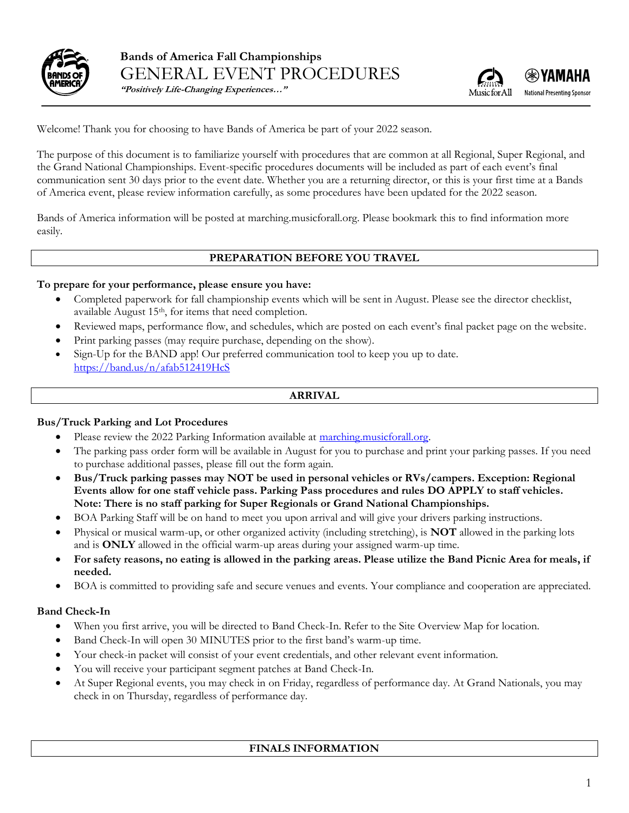

**Bands of America Fall Championships** GENERAL EVENT PROCEDURES



**"Positively Life-Changing Experiences…"**

Welcome! Thank you for choosing to have Bands of America be part of your 2022 season.

The purpose of this document is to familiarize yourself with procedures that are common at all Regional, Super Regional, and the Grand National Championships. Event-specific procedures documents will be included as part of each event's final communication sent 30 days prior to the event date. Whether you are a returning director, or this is your first time at a Bands of America event, please review information carefully, as some procedures have been updated for the 2022 season.

Bands of America information will be posted at marching.musicforall.org. Please bookmark this to find information more easily.

### **PREPARATION BEFORE YOU TRAVEL**

#### **To prepare for your performance, please ensure you have:**

- Completed paperwork for fall championship events which will be sent in August. Please see the director checklist, available August 15<sup>th</sup>, for items that need completion.
- Reviewed maps, performance flow, and schedules, which are posted on each event's final packet page on the website.
- Print parking passes (may require purchase, depending on the show).
- Sign-Up for the BAND app! Our preferred communication tool to keep you up to date. <https://band.us/n/afab512419HcS>

### **ARRIVAL**

#### **Bus/Truck Parking and Lot Procedures**

- Please review the 2022 Parking Information available at marching musicforall.org.
- The parking pass order form will be available in August for you to purchase and print your parking passes. If you need to purchase additional passes, please fill out the form again.
- **Bus/Truck parking passes may NOT be used in personal vehicles or RVs/campers. Exception: Regional Events allow for one staff vehicle pass. Parking Pass procedures and rules DO APPLY to staff vehicles. Note: There is no staff parking for Super Regionals or Grand National Championships.**
- BOA Parking Staff will be on hand to meet you upon arrival and will give your drivers parking instructions.
- Physical or musical warm-up, or other organized activity (including stretching), is **NOT** allowed in the parking lots and is **ONLY** allowed in the official warm-up areas during your assigned warm-up time.
- **For safety reasons, no eating is allowed in the parking areas. Please utilize the Band Picnic Area for meals, if needed.**
- BOA is committed to providing safe and secure venues and events. Your compliance and cooperation are appreciated.

#### **Band Check-In**

- When you first arrive, you will be directed to Band Check-In. Refer to the Site Overview Map for location.
- Band Check-In will open 30 MINUTES prior to the first band's warm-up time.
- Your check-in packet will consist of your event credentials, and other relevant event information.
- You will receive your participant segment patches at Band Check-In.
- At Super Regional events, you may check in on Friday, regardless of performance day. At Grand Nationals, you may check in on Thursday, regardless of performance day.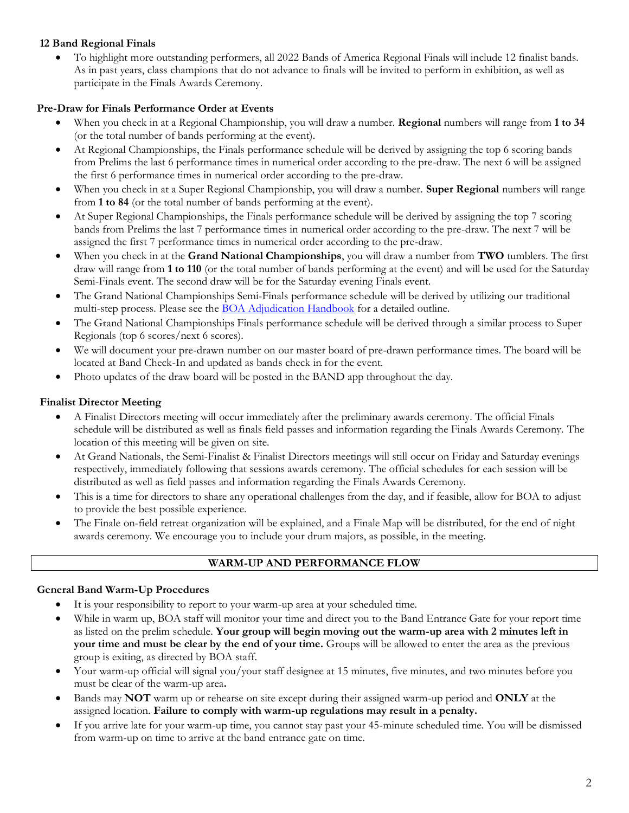# **12 Band Regional Finals**

• To highlight more outstanding performers, all 2022 Bands of America Regional Finals will include 12 finalist bands. As in past years, class champions that do not advance to finals will be invited to perform in exhibition, as well as participate in the Finals Awards Ceremony.

# **Pre-Draw for Finals Performance Order at Events**

- When you check in at a Regional Championship, you will draw a number. **Regional** numbers will range from **1 to 34** (or the total number of bands performing at the event).
- At Regional Championships, the Finals performance schedule will be derived by assigning the top 6 scoring bands from Prelims the last 6 performance times in numerical order according to the pre-draw. The next 6 will be assigned the first 6 performance times in numerical order according to the pre-draw.
- When you check in at a Super Regional Championship, you will draw a number. **Super Regional** numbers will range from **1 to 84** (or the total number of bands performing at the event).
- At Super Regional Championships, the Finals performance schedule will be derived by assigning the top 7 scoring bands from Prelims the last 7 performance times in numerical order according to the pre-draw. The next 7 will be assigned the first 7 performance times in numerical order according to the pre-draw.
- When you check in at the **Grand National Championships**, you will draw a number from **TWO** tumblers. The first draw will range from **1 to 110** (or the total number of bands performing at the event) and will be used for the Saturday Semi-Finals event. The second draw will be for the Saturday evening Finals event.
- The Grand National Championships Semi-Finals performance schedule will be derived by utilizing our traditional multi-step process. Please see the [BOA Adjudication Handbook](https://marching.musicforall.org/adjudication/) for a detailed outline.
- The Grand National Championships Finals performance schedule will be derived through a similar process to Super Regionals (top 6 scores/next 6 scores).
- We will document your pre-drawn number on our master board of pre-drawn performance times. The board will be located at Band Check-In and updated as bands check in for the event.
- Photo updates of the draw board will be posted in the BAND app throughout the day.

# **Finalist Director Meeting**

- A Finalist Directors meeting will occur immediately after the preliminary awards ceremony. The official Finals schedule will be distributed as well as finals field passes and information regarding the Finals Awards Ceremony. The location of this meeting will be given on site.
- At Grand Nationals, the Semi-Finalist & Finalist Directors meetings will still occur on Friday and Saturday evenings respectively, immediately following that sessions awards ceremony. The official schedules for each session will be distributed as well as field passes and information regarding the Finals Awards Ceremony.
- This is a time for directors to share any operational challenges from the day, and if feasible, allow for BOA to adjust to provide the best possible experience.
- The Finale on-field retreat organization will be explained, and a Finale Map will be distributed, for the end of night awards ceremony. We encourage you to include your drum majors, as possible, in the meeting.

## **WARM-UP AND PERFORMANCE FLOW**

## **General Band Warm-Up Procedures**

- It is your responsibility to report to your warm-up area at your scheduled time.
- While in warm up, BOA staff will monitor your time and direct you to the Band Entrance Gate for your report time as listed on the prelim schedule. **Your group will begin moving out the warm-up area with 2 minutes left in your time and must be clear by the end of your time.** Groups will be allowed to enter the area as the previous group is exiting, as directed by BOA staff.
- Your warm-up official will signal you/your staff designee at 15 minutes, five minutes, and two minutes before you must be clear of the warm-up area**.**
- Bands may **NOT** warm up or rehearse on site except during their assigned warm-up period and **ONLY** at the assigned location. **Failure to comply with warm-up regulations may result in a penalty.**
- If you arrive late for your warm-up time, you cannot stay past your 45-minute scheduled time. You will be dismissed from warm-up on time to arrive at the band entrance gate on time.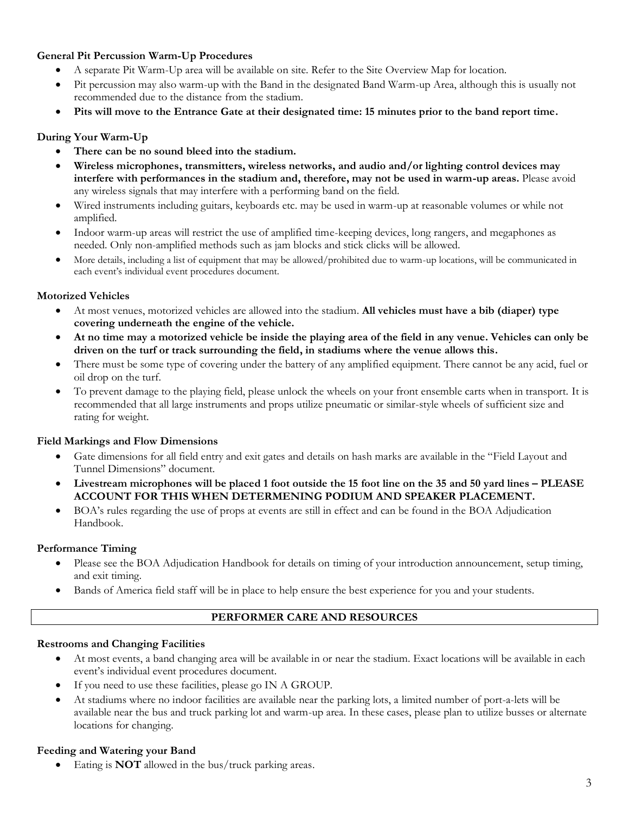## **General Pit Percussion Warm-Up Procedures**

- A separate Pit Warm-Up area will be available on site. Refer to the Site Overview Map for location.
- Pit percussion may also warm-up with the Band in the designated Band Warm-up Area, although this is usually not recommended due to the distance from the stadium.
- **Pits will move to the Entrance Gate at their designated time: 15 minutes prior to the band report time.**

### **During Your Warm-Up**

- There can be no sound bleed into the stadium.
- **Wireless microphones, transmitters, wireless networks, and audio and/or lighting control devices may interfere with performances in the stadium and, therefore, may not be used in warm-up areas.** Please avoid any wireless signals that may interfere with a performing band on the field.
- Wired instruments including guitars, keyboards etc. may be used in warm-up at reasonable volumes or while not amplified.
- Indoor warm-up areas will restrict the use of amplified time-keeping devices, long rangers, and megaphones as needed. Only non-amplified methods such as jam blocks and stick clicks will be allowed.
- More details, including a list of equipment that may be allowed/prohibited due to warm-up locations, will be communicated in each event's individual event procedures document.

### **Motorized Vehicles**

- At most venues, motorized vehicles are allowed into the stadium. **All vehicles must have a bib (diaper) type covering underneath the engine of the vehicle.**
- **At no time may a motorized vehicle be inside the playing area of the field in any venue. Vehicles can only be driven on the turf or track surrounding the field, in stadiums where the venue allows this.**
- There must be some type of covering under the battery of any amplified equipment. There cannot be any acid, fuel or oil drop on the turf.
- To prevent damage to the playing field, please unlock the wheels on your front ensemble carts when in transport. It is recommended that all large instruments and props utilize pneumatic or similar-style wheels of sufficient size and rating for weight.

### **Field Markings and Flow Dimensions**

- Gate dimensions for all field entry and exit gates and details on hash marks are available in the "Field Layout and Tunnel Dimensions" document.
- **Livestream microphones will be placed 1 foot outside the 15 foot line on the 35 and 50 yard lines – PLEASE ACCOUNT FOR THIS WHEN DETERMENING PODIUM AND SPEAKER PLACEMENT.**
- BOA's rules regarding the use of props at events are still in effect and can be found in the BOA Adjudication Handbook.

### **Performance Timing**

- Please see the BOA Adjudication Handbook for details on timing of your introduction announcement, setup timing, and exit timing.
- Bands of America field staff will be in place to help ensure the best experience for you and your students.

### **PERFORMER CARE AND RESOURCES**

### **Restrooms and Changing Facilities**

- At most events, a band changing area will be available in or near the stadium. Exact locations will be available in each event's individual event procedures document.
- If you need to use these facilities, please go IN A GROUP.
- At stadiums where no indoor facilities are available near the parking lots, a limited number of port-a-lets will be available near the bus and truck parking lot and warm-up area. In these cases, please plan to utilize busses or alternate locations for changing.

### **Feeding and Watering your Band**

• Eating is **NOT** allowed in the bus/truck parking areas.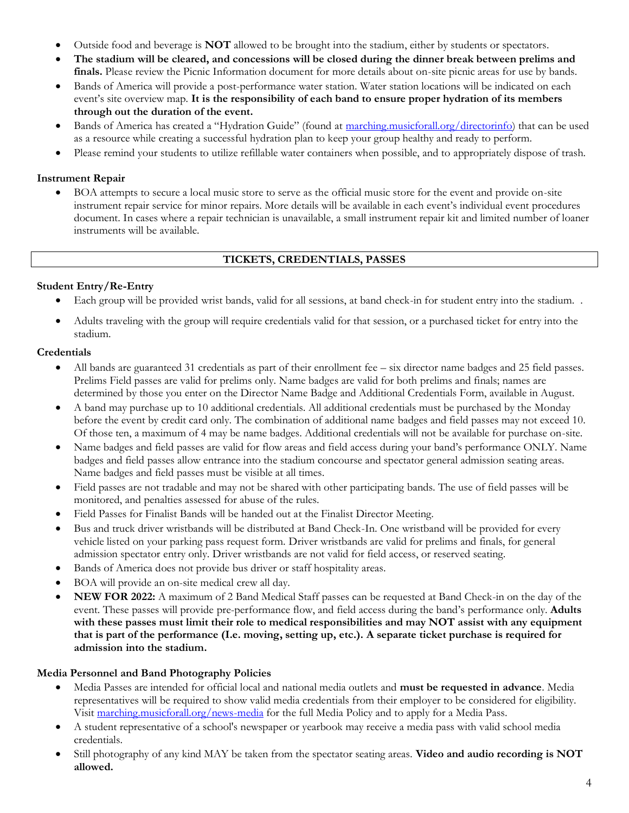- Outside food and beverage is **NOT** allowed to be brought into the stadium, either by students or spectators.
- **The stadium will be cleared, and concessions will be closed during the dinner break between prelims and finals.** Please review the Picnic Information document for more details about on-site picnic areas for use by bands.
- Bands of America will provide a post-performance water station. Water station locations will be indicated on each event's site overview map*.* **It is the responsibility of each band to ensure proper hydration of its members through out the duration of the event.**
- Bands of America has created a "Hydration Guide" (found at [marching.musicforall.org/directorinfo\)](https://marching.musicforall.org/directorinfo/) that can be used as a resource while creating a successful hydration plan to keep your group healthy and ready to perform.
- Please remind your students to utilize refillable water containers when possible, and to appropriately dispose of trash.

## **Instrument Repair**

• BOA attempts to secure a local music store to serve as the official music store for the event and provide on-site instrument repair service for minor repairs. More details will be available in each event's individual event procedures document. In cases where a repair technician is unavailable, a small instrument repair kit and limited number of loaner instruments will be available.

### **TICKETS, CREDENTIALS, PASSES**

### **Student Entry/Re-Entry**

- Each group will be provided wrist bands, valid for all sessions, at band check-in for student entry into the stadium. .
- Adults traveling with the group will require credentials valid for that session, or a purchased ticket for entry into the stadium.

### **Credentials**

- All bands are guaranteed 31 credentials as part of their enrollment fee six director name badges and 25 field passes. Prelims Field passes are valid for prelims only. Name badges are valid for both prelims and finals; names are determined by those you enter on the Director Name Badge and Additional Credentials Form, available in August.
- A band may purchase up to 10 additional credentials. All additional credentials must be purchased by the Monday before the event by credit card only. The combination of additional name badges and field passes may not exceed 10. Of those ten, a maximum of 4 may be name badges. Additional credentials will not be available for purchase on-site.
- Name badges and field passes are valid for flow areas and field access during your band's performance ONLY. Name badges and field passes allow entrance into the stadium concourse and spectator general admission seating areas. Name badges and field passes must be visible at all times.
- Field passes are not tradable and may not be shared with other participating bands. The use of field passes will be monitored, and penalties assessed for abuse of the rules.
- Field Passes for Finalist Bands will be handed out at the Finalist Director Meeting.
- Bus and truck driver wristbands will be distributed at Band Check-In. One wristband will be provided for every vehicle listed on your parking pass request form. Driver wristbands are valid for prelims and finals, for general admission spectator entry only. Driver wristbands are not valid for field access, or reserved seating.
- Bands of America does not provide bus driver or staff hospitality areas.
- BOA will provide an on-site medical crew all day.
- **NEW FOR 2022:** A maximum of 2 Band Medical Staff passes can be requested at Band Check-in on the day of the event. These passes will provide pre-performance flow, and field access during the band's performance only. **Adults with these passes must limit their role to medical responsibilities and may NOT assist with any equipment that is part of the performance (I.e. moving, setting up, etc.). A separate ticket purchase is required for admission into the stadium.**

### **Media Personnel and Band Photography Policies**

- Media Passes are intended for official local and national media outlets and **must be requested in advance**. Media representatives will be required to show valid media credentials from their employer to be considered for eligibility. Visit [marching.musicforall.org/news-media](http://marching.musicforall.org/news-media) for the full Media Policy and to apply for a Media Pass.
- A student representative of a school's newspaper or yearbook may receive a media pass with valid school media credentials.
- Still photography of any kind MAY be taken from the spectator seating areas. **Video and audio recording is NOT allowed.**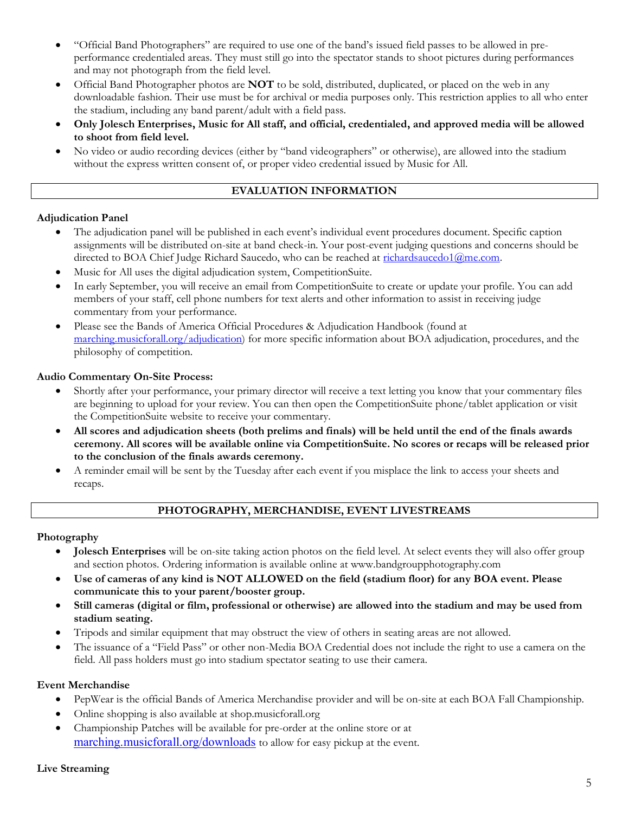- "Official Band Photographers" are required to use one of the band's issued field passes to be allowed in preperformance credentialed areas. They must still go into the spectator stands to shoot pictures during performances and may not photograph from the field level.
- Official Band Photographer photos are **NOT** to be sold, distributed, duplicated, or placed on the web in any downloadable fashion. Their use must be for archival or media purposes only. This restriction applies to all who enter the stadium, including any band parent/adult with a field pass.
- **Only Jolesch Enterprises, Music for All staff, and official, credentialed, and approved media will be allowed to shoot from field level.**
- No video or audio recording devices (either by "band videographers" or otherwise), are allowed into the stadium without the express written consent of, or proper video credential issued by Music for All.

### **EVALUATION INFORMATION**

### **Adjudication Panel**

- The adjudication panel will be published in each event's individual event procedures document. Specific caption assignments will be distributed on-site at band check-in. Your post-event judging questions and concerns should be directed to BOA Chief Judge Richard Saucedo, who can be reached at [richardsaucedo1@me.com.](mailto:rsaucedo1@me.com)
- Music for All uses the digital adjudication system, CompetitionSuite.
- In early September, you will receive an email from CompetitionSuite to create or update your profile. You can add members of your staff, cell phone numbers for text alerts and other information to assist in receiving judge commentary from your performance.
- Please see the Bands of America Official Procedures & Adjudication Handbook (found at [marching.musicforall.org/adjudication\)](https://marching.musicforall.org/adjudication/) for more specific information about BOA adjudication, procedures, and the philosophy of competition.

### **Audio Commentary On-Site Process:**

- Shortly after your performance, your primary director will receive a text letting you know that your commentary files are beginning to upload for your review. You can then open the CompetitionSuite phone/tablet application or visit the CompetitionSuite website to receive your commentary.
- **All scores and adjudication sheets (both prelims and finals) will be held until the end of the finals awards ceremony. All scores will be available online via CompetitionSuite. No scores or recaps will be released prior to the conclusion of the finals awards ceremony.**
- A reminder email will be sent by the Tuesday after each event if you misplace the link to access your sheets and recaps.

### **PHOTOGRAPHY, MERCHANDISE, EVENT LIVESTREAMS**

## **Photography**

- **Jolesch Enterprises** will be on-site taking action photos on the field level. At select events they will also offer group and section photos. Ordering information is available online at www.bandgroupphotography.com
- **Use of cameras of any kind is NOT ALLOWED on the field (stadium floor) for any BOA event. Please communicate this to your parent/booster group.**
- **Still cameras (digital or film, professional or otherwise) are allowed into the stadium and may be used from stadium seating.**
- Tripods and similar equipment that may obstruct the view of others in seating areas are not allowed.
- The issuance of a "Field Pass" or other non-Media BOA Credential does not include the right to use a camera on the field. All pass holders must go into stadium spectator seating to use their camera.

## **Event Merchandise**

- PepWear is the official Bands of America Merchandise provider and will be on-site at each BOA Fall Championship.
- Online shopping is also available at shop.musicforall.org
- Championship Patches will be available for pre-order at the online store or at [marching.musicforall.org/downloads](http://marching.musicforall.org/downloads) to allow for easy pickup at the event.

### **Live Streaming**